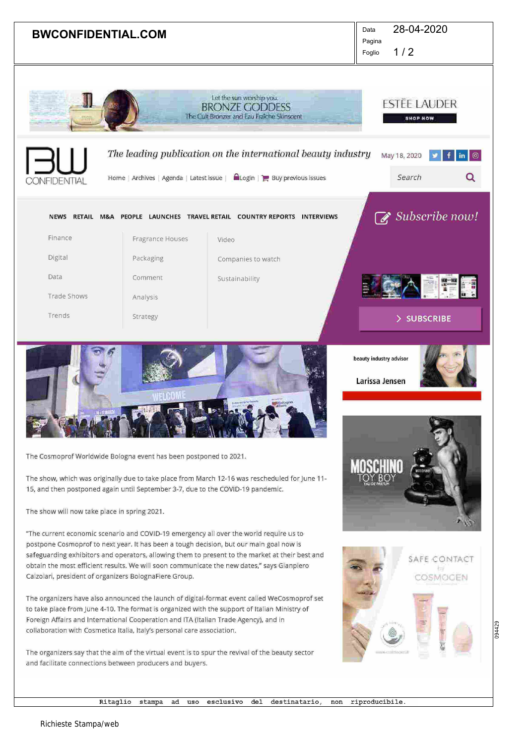